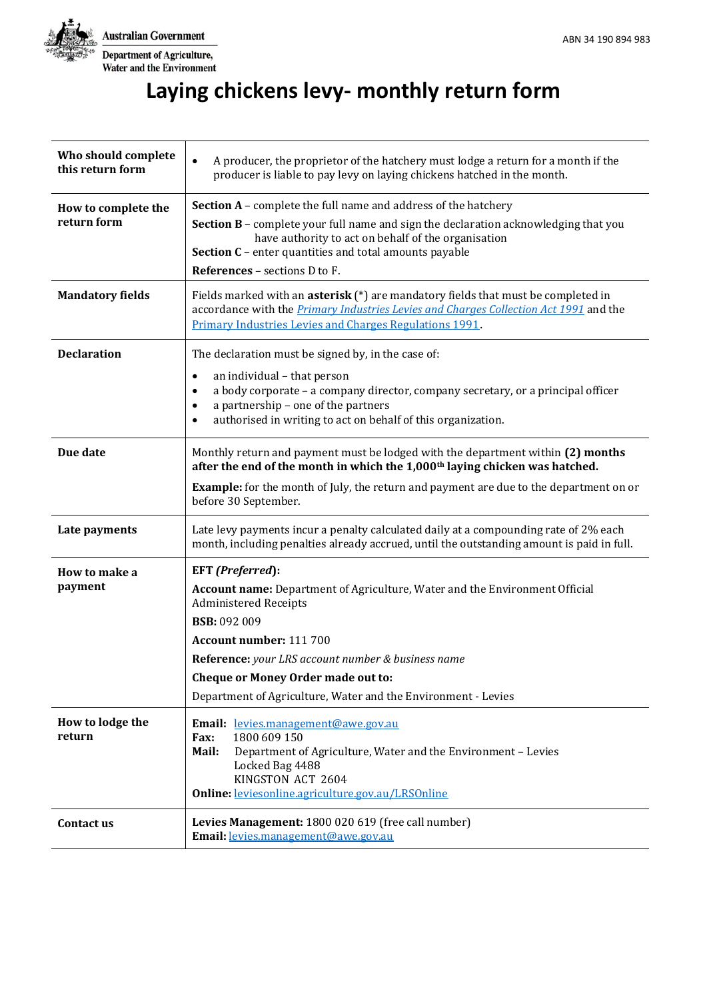

T

# **Laying chickens levy- monthly return form**

| Who should complete<br>this return form | A producer, the proprietor of the hatchery must lodge a return for a month if the<br>producer is liable to pay levy on laying chickens hatched in the month.                                                                                                                                                                                                 |  |  |  |  |  |
|-----------------------------------------|--------------------------------------------------------------------------------------------------------------------------------------------------------------------------------------------------------------------------------------------------------------------------------------------------------------------------------------------------------------|--|--|--|--|--|
| How to complete the<br>return form      | <b>Section A</b> - complete the full name and address of the hatchery<br>Section B - complete your full name and sign the declaration acknowledging that you<br>have authority to act on behalf of the organisation<br>Section C - enter quantities and total amounts payable                                                                                |  |  |  |  |  |
|                                         | References - sections D to F.                                                                                                                                                                                                                                                                                                                                |  |  |  |  |  |
| <b>Mandatory fields</b>                 | Fields marked with an <b>asterisk</b> $(*)$ are mandatory fields that must be completed in<br>accordance with the <i>Primary Industries Levies and Charges Collection Act 1991</i> and the<br><b>Primary Industries Levies and Charges Regulations 1991.</b>                                                                                                 |  |  |  |  |  |
| <b>Declaration</b>                      | The declaration must be signed by, in the case of:                                                                                                                                                                                                                                                                                                           |  |  |  |  |  |
|                                         | an individual - that person<br>$\bullet$<br>a body corporate - a company director, company secretary, or a principal officer<br>$\bullet$<br>a partnership - one of the partners<br>$\bullet$<br>authorised in writing to act on behalf of this organization.<br>$\bullet$                                                                                   |  |  |  |  |  |
| Due date                                | Monthly return and payment must be lodged with the department within (2) months<br>after the end of the month in which the 1,000 <sup>th</sup> laying chicken was hatched.                                                                                                                                                                                   |  |  |  |  |  |
|                                         | <b>Example:</b> for the month of July, the return and payment are due to the department on or<br>before 30 September.                                                                                                                                                                                                                                        |  |  |  |  |  |
| Late payments                           | Late levy payments incur a penalty calculated daily at a compounding rate of 2% each<br>month, including penalties already accrued, until the outstanding amount is paid in full.                                                                                                                                                                            |  |  |  |  |  |
| How to make a<br>payment                | EFT (Preferred):<br><b>Account name:</b> Department of Agriculture, Water and the Environment Official<br><b>Administered Receipts</b><br><b>BSB: 092 009</b><br>Account number: 111 700<br>Reference: your LRS account number & business name<br><b>Cheque or Money Order made out to:</b><br>Department of Agriculture, Water and the Environment - Levies |  |  |  |  |  |
| How to lodge the<br>return              | Email: levies.management@awe.gov.au<br>1800 609 150<br>Fax:<br>Mail:<br>Department of Agriculture, Water and the Environment - Levies<br>Locked Bag 4488<br>KINGSTON ACT 2604<br>Online: leviesonline.agriculture.gov.au/LRSOnline                                                                                                                           |  |  |  |  |  |
| Contact us                              | Levies Management: 1800 020 619 (free call number)<br>Email: levies.management@awe.gov.au                                                                                                                                                                                                                                                                    |  |  |  |  |  |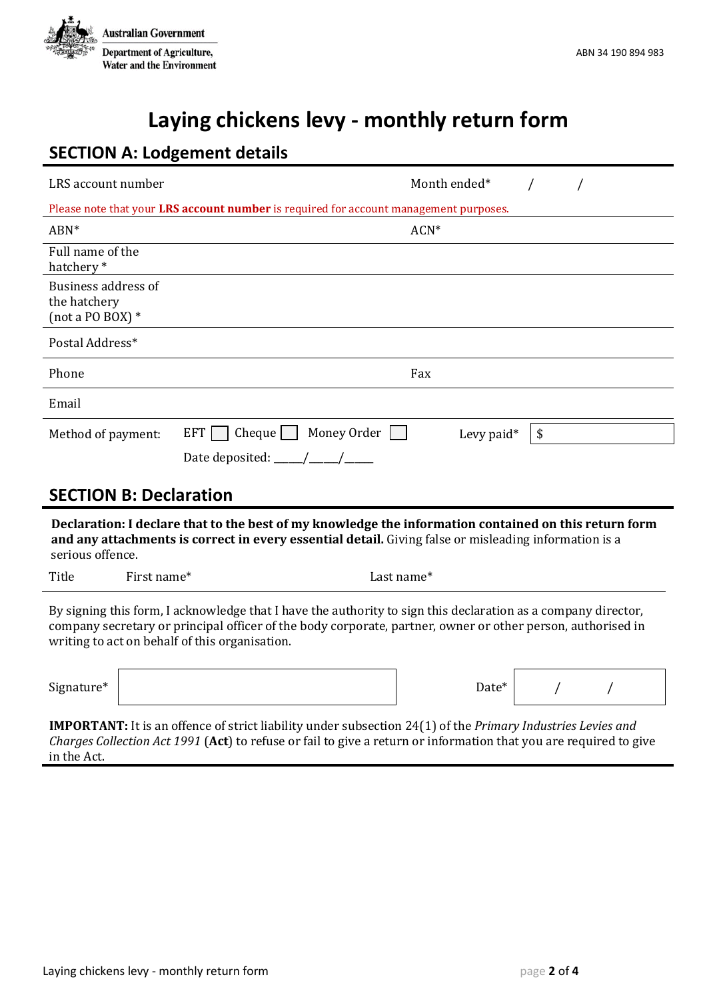

## **Laying chickens levy - monthly return form**

### **SECTION A: Lodgement details**

| LRS account number                                                                                                                                                                                                                                                             |                                             | Month ended* |    |  |  |  |
|--------------------------------------------------------------------------------------------------------------------------------------------------------------------------------------------------------------------------------------------------------------------------------|---------------------------------------------|--------------|----|--|--|--|
| Please note that your LRS account number is required for account management purposes.                                                                                                                                                                                          |                                             |              |    |  |  |  |
| ABN*                                                                                                                                                                                                                                                                           |                                             | ACN*         |    |  |  |  |
| Full name of the<br>hatchery*                                                                                                                                                                                                                                                  |                                             |              |    |  |  |  |
| Business address of<br>the hatchery<br>(not a PO BOX) $*$                                                                                                                                                                                                                      |                                             |              |    |  |  |  |
| Postal Address*                                                                                                                                                                                                                                                                |                                             |              |    |  |  |  |
| Phone                                                                                                                                                                                                                                                                          |                                             | Fax          |    |  |  |  |
| Email                                                                                                                                                                                                                                                                          |                                             |              |    |  |  |  |
| Method of payment:                                                                                                                                                                                                                                                             | $Change$ Money Order $\vert \vert$<br>EFT [ | Levy paid*   | \$ |  |  |  |
|                                                                                                                                                                                                                                                                                |                                             |              |    |  |  |  |
| <b>SECTION B: Declaration</b>                                                                                                                                                                                                                                                  |                                             |              |    |  |  |  |
| Declaration: I declare that to the best of my knowledge the information contained on this return form<br>and any attachments is correct in every essential detail. Giving false or misleading information is a<br>serious offence.                                             |                                             |              |    |  |  |  |
| Title<br>First name*                                                                                                                                                                                                                                                           |                                             | Last name*   |    |  |  |  |
| By signing this form, I acknowledge that I have the authority to sign this declaration as a company director,<br>company secretary or principal officer of the body corporate, partner, owner or other person, authorised in<br>writing to act on behalf of this organisation. |                                             |              |    |  |  |  |

Signature\*

| Date* |  |  |
|-------|--|--|
|       |  |  |

**IMPORTANT:** It is an offence of strict liability under subsection 24(1) of the *Primary Industries Levies and Charges Collection Act 1991* (**Act**) to refuse or fail to give a return or information that you are required to give in the Act.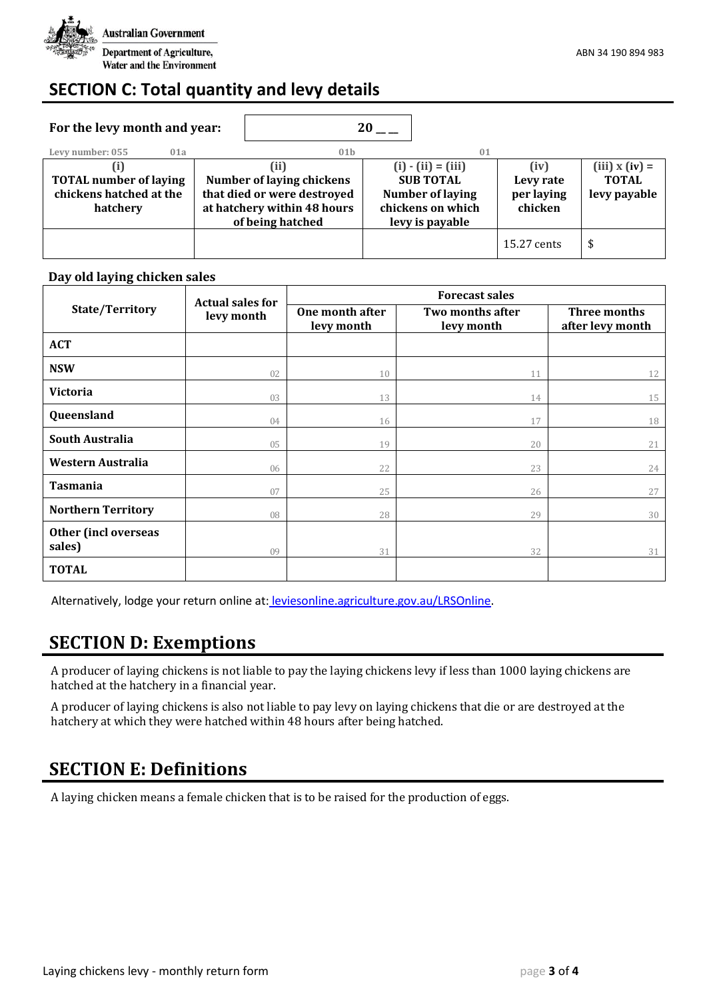

### **SECTION C: Total quantity and levy details**

| For the levy month and year:                                         |                                                                                                                     |                 | 20                                                                                                          |    |                                            |                                                    |
|----------------------------------------------------------------------|---------------------------------------------------------------------------------------------------------------------|-----------------|-------------------------------------------------------------------------------------------------------------|----|--------------------------------------------|----------------------------------------------------|
| Levy number: 055<br>01a                                              |                                                                                                                     | 01 <sub>b</sub> |                                                                                                             | 01 |                                            |                                                    |
| <b>TOTAL number of laying</b><br>chickens hatched at the<br>hatchery | (ii)<br>Number of laying chickens<br>that died or were destroyed<br>at hatchery within 48 hours<br>of being hatched |                 | $(i) - (ii) = (iii)$<br><b>SUB TOTAL</b><br><b>Number of laying</b><br>chickens on which<br>levy is payable |    | (iv)<br>Levy rate<br>per laying<br>chicken | $(iii)$ x $(iv)$ =<br><b>TOTAL</b><br>levy payable |
|                                                                      |                                                                                                                     |                 |                                                                                                             |    | 15.27 cents                                | S                                                  |

#### **Day old laying chicken sales**

|                                | <b>Actual sales for</b><br>levy month | <b>Forecast sales</b>         |                                |                                  |  |  |
|--------------------------------|---------------------------------------|-------------------------------|--------------------------------|----------------------------------|--|--|
| State/Territory                |                                       | One month after<br>levy month | Two months after<br>levy month | Three months<br>after levy month |  |  |
| <b>ACT</b>                     |                                       |                               |                                |                                  |  |  |
| <b>NSW</b>                     | 02                                    | 10                            | 11                             | 12                               |  |  |
| <b>Victoria</b>                | 03                                    | 13                            | 14                             | 15                               |  |  |
| Queensland                     | 04                                    | 16                            | 17                             | 18                               |  |  |
| South Australia                | 05                                    | 19                            | 20                             | 21                               |  |  |
| Western Australia              | 06                                    | 22                            | 23                             | 24                               |  |  |
| <b>Tasmania</b>                | 07                                    | 25                            | 26                             | 27                               |  |  |
| <b>Northern Territory</b>      | 08                                    | 28                            | 29                             | 30                               |  |  |
| Other (incl overseas<br>sales) | 09                                    | 31                            | 32                             | 31                               |  |  |
| <b>TOTAL</b>                   |                                       |                               |                                |                                  |  |  |

Alternatively, lodge your return online at: [leviesonline.agriculture.gov.au/LRSOnline.](https://leviesonline.agriculture.gov.au/lrsonline)

### **SECTION D: Exemptions**

A producer of laying chickens is not liable to pay the laying chickens levy if less than 1000 laying chickens are hatched at the hatchery in a financial year.

A producer of laying chickens is also not liable to pay levy on laying chickens that die or are destroyed at the hatchery at which they were hatched within 48 hours after being hatched.

### **SECTION E: Definitions**

A laying chicken means a female chicken that is to be raised for the production of eggs.